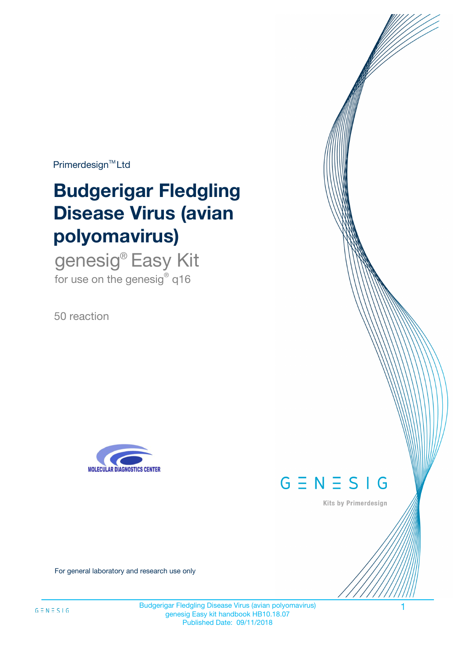Primerdesign<sup>™</sup>Ltd

# **Budgerigar Fledgling Disease Virus (avian polyomavirus)**

genesig® Easy Kit for use on the genesig $^{\circ}$  q16

50 reaction





Kits by Primerdesign

For general laboratory and research use only

Budgerigar Fledgling Disease Virus (avian polyomavirus) 1 genesig Easy kit handbook HB10.18.07 Published Date: 09/11/2018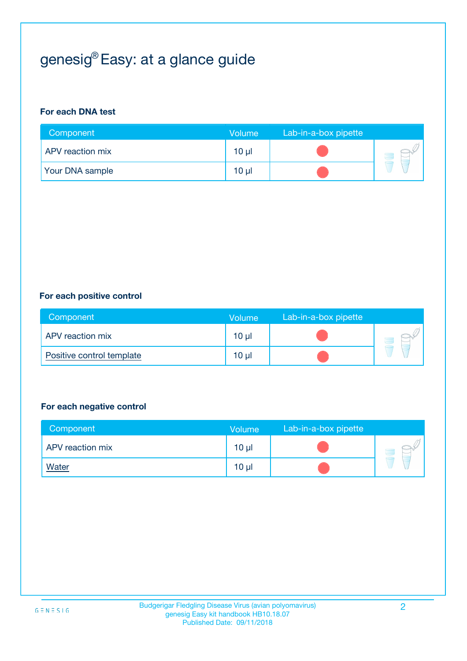# genesig® Easy: at a glance guide

#### **For each DNA test**

| Component               | <b>Volume</b> | Lab-in-a-box pipette |  |
|-------------------------|---------------|----------------------|--|
| <b>APV</b> reaction mix | $10 \mu$      |                      |  |
| <b>Your DNA sample</b>  | $10 \mu$      |                      |  |

#### **For each positive control**

| Component                 | <b>Volume</b>   | Lab-in-a-box pipette |  |
|---------------------------|-----------------|----------------------|--|
| APV reaction mix          | 10 <sub>µ</sub> |                      |  |
| Positive control template | $10 \mu$        |                      |  |

#### **For each negative control**

| Component        | <b>Volume</b>   | Lab-in-a-box pipette |  |
|------------------|-----------------|----------------------|--|
| APV reaction mix | 10 <sub>µ</sub> |                      |  |
| <u>Water</u>     | 10 <sub>µ</sub> |                      |  |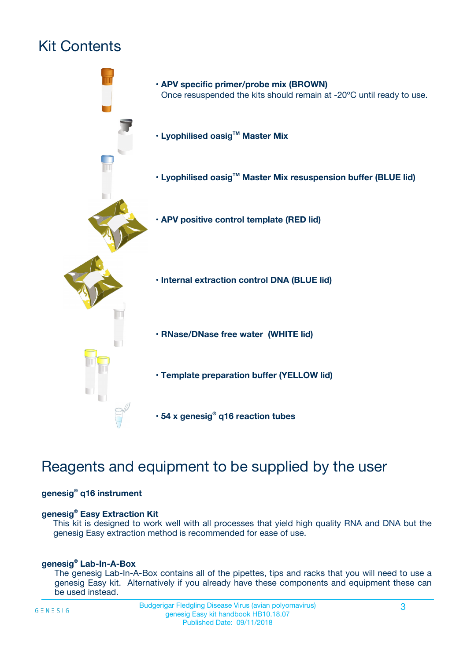# Kit Contents



## Reagents and equipment to be supplied by the user

#### **genesig® q16 instrument**

#### **genesig® Easy Extraction Kit**

This kit is designed to work well with all processes that yield high quality RNA and DNA but the genesig Easy extraction method is recommended for ease of use.

#### **genesig® Lab-In-A-Box**

The genesig Lab-In-A-Box contains all of the pipettes, tips and racks that you will need to use a genesig Easy kit. Alternatively if you already have these components and equipment these can be used instead.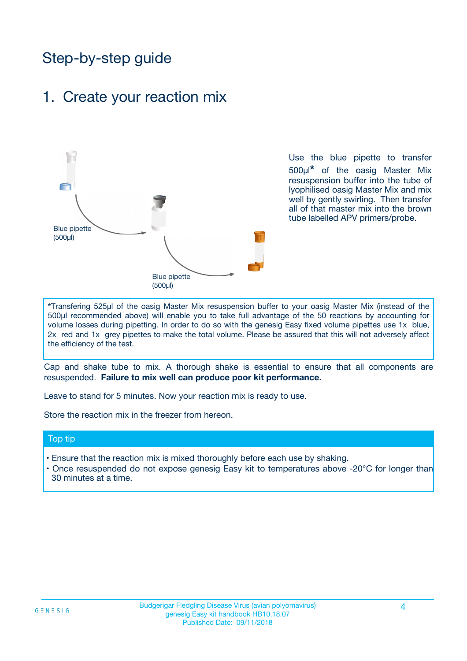## Step-by-step guide

### 1. Create your reaction mix



Use the blue pipette to transfer 500µl**\*** of the oasig Master Mix resuspension buffer into the tube of lyophilised oasig Master Mix and mix well by gently swirling. Then transfer all of that master mix into the brown tube labelled APV primers/probe.

**\***Transfering 525µl of the oasig Master Mix resuspension buffer to your oasig Master Mix (instead of the 500µl recommended above) will enable you to take full advantage of the 50 reactions by accounting for volume losses during pipetting. In order to do so with the genesig Easy fixed volume pipettes use 1x blue, 2x red and 1x grey pipettes to make the total volume. Please be assured that this will not adversely affect the efficiency of the test.

Cap and shake tube to mix. A thorough shake is essential to ensure that all components are resuspended. **Failure to mix well can produce poor kit performance.**

Leave to stand for 5 minutes. Now your reaction mix is ready to use.

Store the reaction mix in the freezer from hereon.

#### Top tip

- Ensure that the reaction mix is mixed thoroughly before each use by shaking.
- **•** Once resuspended do not expose genesig Easy kit to temperatures above -20°C for longer than 30 minutes at a time.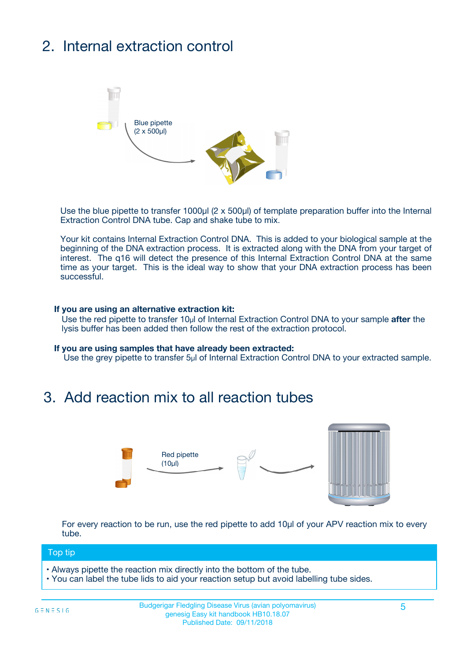# 2. Internal extraction control



Use the blue pipette to transfer 1000µl (2 x 500µl) of template preparation buffer into the Internal Extraction Control DNA tube. Cap and shake tube to mix.

Your kit contains Internal Extraction Control DNA. This is added to your biological sample at the beginning of the DNA extraction process. It is extracted along with the DNA from your target of interest. The q16 will detect the presence of this Internal Extraction Control DNA at the same time as your target. This is the ideal way to show that your DNA extraction process has been successful.

#### **If you are using an alternative extraction kit:**

Use the red pipette to transfer 10µl of Internal Extraction Control DNA to your sample **after** the lysis buffer has been added then follow the rest of the extraction protocol.

#### **If you are using samples that have already been extracted:**

Use the grey pipette to transfer 5µl of Internal Extraction Control DNA to your extracted sample.

### 3. Add reaction mix to all reaction tubes



For every reaction to be run, use the red pipette to add 10µl of your APV reaction mix to every tube.

#### Top tip

- Always pipette the reaction mix directly into the bottom of the tube.
- You can label the tube lids to aid your reaction setup but avoid labelling tube sides.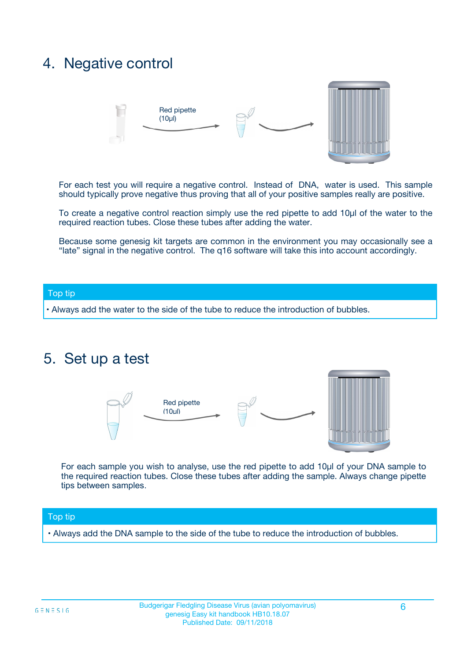### 4. Negative control



For each test you will require a negative control. Instead of DNA, water is used. This sample should typically prove negative thus proving that all of your positive samples really are positive.

To create a negative control reaction simply use the red pipette to add 10µl of the water to the required reaction tubes. Close these tubes after adding the water.

Because some genesig kit targets are common in the environment you may occasionally see a "late" signal in the negative control. The q16 software will take this into account accordingly.

#### Top tip

**•** Always add the water to the side of the tube to reduce the introduction of bubbles.

### 5. Set up a test



For each sample you wish to analyse, use the red pipette to add 10µl of your DNA sample to the required reaction tubes. Close these tubes after adding the sample. Always change pipette tips between samples.

#### Top tip

**•** Always add the DNA sample to the side of the tube to reduce the introduction of bubbles.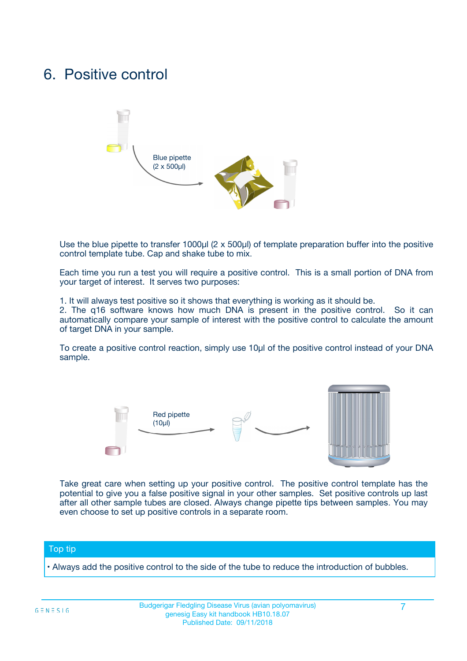### 6. Positive control



Use the blue pipette to transfer 1000µl (2 x 500µl) of template preparation buffer into the positive control template tube. Cap and shake tube to mix.

Each time you run a test you will require a positive control. This is a small portion of DNA from your target of interest. It serves two purposes:

1. It will always test positive so it shows that everything is working as it should be.

2. The q16 software knows how much DNA is present in the positive control. So it can automatically compare your sample of interest with the positive control to calculate the amount of target DNA in your sample.

To create a positive control reaction, simply use 10µl of the positive control instead of your DNA sample.



Take great care when setting up your positive control. The positive control template has the potential to give you a false positive signal in your other samples. Set positive controls up last after all other sample tubes are closed. Always change pipette tips between samples. You may even choose to set up positive controls in a separate room.

#### Top tip

**•** Always add the positive control to the side of the tube to reduce the introduction of bubbles.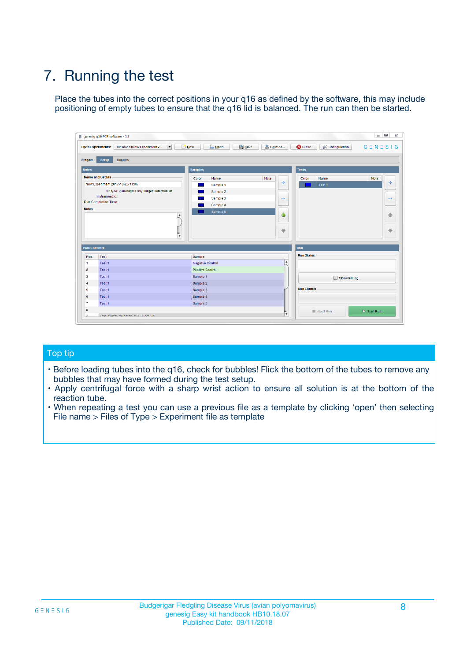# 7. Running the test

Place the tubes into the correct positions in your q16 as defined by the software, this may include positioning of empty tubes to ensure that the q16 lid is balanced. The run can then be started.

| genesig q16 PCR software - 1.2                                               |                                | $\begin{array}{c c c c} \hline \multicolumn{3}{c }{\textbf{0}} & \multicolumn{3}{c }{\textbf{0}} \end{array}$ |                              |
|------------------------------------------------------------------------------|--------------------------------|---------------------------------------------------------------------------------------------------------------|------------------------------|
| $\vert \cdot \vert$<br><b>Open Experiments:</b><br>Unsaved (New Experiment 2 | Open<br>Save<br>$\sqrt{9}$ New | Save As<br><b>C</b> Close<br>$G \equiv N \equiv S \mid G$<br><b>X</b> Configuration                           |                              |
| Setup<br><b>Results</b><br><b>Stages:</b>                                    |                                |                                                                                                               |                              |
| <b>Notes</b>                                                                 | <b>Samples</b>                 | <b>Tests</b>                                                                                                  |                              |
| <b>Name and Details</b>                                                      | Color<br>Name                  | Note<br>Color<br>Note<br>Name                                                                                 |                              |
| New Experiment 2017-10-26 11:06                                              | Sample 1                       | ÷<br>Test <sub>1</sub>                                                                                        | ÷                            |
| Kit type: genesig® Easy Target Detection kit                                 | Sample 2                       |                                                                                                               |                              |
| Instrument Id.:                                                              | Sample 3                       | $\qquad \qquad \blacksquare$                                                                                  | $\qquad \qquad \blacksquare$ |
| <b>Run Completion Time:</b>                                                  | Sample 4                       |                                                                                                               |                              |
| <b>Notes</b><br>A<br>⊺៴                                                      | Sample 5                       | $\triangle$<br>$\oplus$                                                                                       | 借<br>₩                       |
| <b>Well Contents</b>                                                         |                                | Run                                                                                                           |                              |
| Pos.<br><b>Test</b>                                                          | Sample                         | <b>Run Status</b>                                                                                             |                              |
| Test 1<br>-1                                                                 | <b>Negative Control</b>        | $\blacktriangle$                                                                                              |                              |
| $\overline{2}$<br>Test 1                                                     | <b>Positive Control</b>        |                                                                                                               |                              |
| 3<br>Test 1                                                                  | Sample 1                       | Show full log                                                                                                 |                              |
| Test 1<br>$\overline{4}$                                                     | Sample 2                       |                                                                                                               |                              |
| 5<br>Test 1                                                                  | Sample 3                       | <b>Run Control</b>                                                                                            |                              |
| Test 1<br>6                                                                  | Sample 4                       |                                                                                                               |                              |
| $\overline{7}$<br>Test 1                                                     | Sample 5                       |                                                                                                               |                              |
| 8                                                                            |                                | $\triangleright$ Start Run<br>Abort Run                                                                       |                              |
| <b>JOD FURTY TUDE TO BUILDED IN</b>                                          |                                | $\overline{\mathbf{v}}$                                                                                       |                              |

#### Top tip

- Before loading tubes into the q16, check for bubbles! Flick the bottom of the tubes to remove any bubbles that may have formed during the test setup.
- Apply centrifugal force with a sharp wrist action to ensure all solution is at the bottom of the reaction tube.
- When repeating a test you can use a previous file as a template by clicking 'open' then selecting File name > Files of Type > Experiment file as template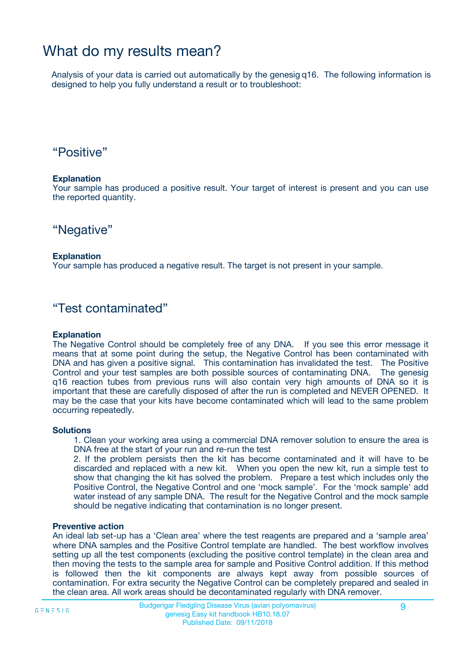## What do my results mean?

Analysis of your data is carried out automatically by the genesig q16. The following information is designed to help you fully understand a result or to troubleshoot:

### "Positive"

#### **Explanation**

Your sample has produced a positive result. Your target of interest is present and you can use the reported quantity.

"Negative"

#### **Explanation**

Your sample has produced a negative result. The target is not present in your sample.

### "Test contaminated"

#### **Explanation**

The Negative Control should be completely free of any DNA. If you see this error message it means that at some point during the setup, the Negative Control has been contaminated with DNA and has given a positive signal. This contamination has invalidated the test. The Positive Control and your test samples are both possible sources of contaminating DNA. The genesig q16 reaction tubes from previous runs will also contain very high amounts of DNA so it is important that these are carefully disposed of after the run is completed and NEVER OPENED. It may be the case that your kits have become contaminated which will lead to the same problem occurring repeatedly.

#### **Solutions**

1. Clean your working area using a commercial DNA remover solution to ensure the area is DNA free at the start of your run and re-run the test

2. If the problem persists then the kit has become contaminated and it will have to be discarded and replaced with a new kit. When you open the new kit, run a simple test to show that changing the kit has solved the problem. Prepare a test which includes only the Positive Control, the Negative Control and one 'mock sample'. For the 'mock sample' add water instead of any sample DNA. The result for the Negative Control and the mock sample should be negative indicating that contamination is no longer present.

#### **Preventive action**

An ideal lab set-up has a 'Clean area' where the test reagents are prepared and a 'sample area' where DNA samples and the Positive Control template are handled. The best workflow involves setting up all the test components (excluding the positive control template) in the clean area and then moving the tests to the sample area for sample and Positive Control addition. If this method is followed then the kit components are always kept away from possible sources of contamination. For extra security the Negative Control can be completely prepared and sealed in the clean area. All work areas should be decontaminated regularly with DNA remover.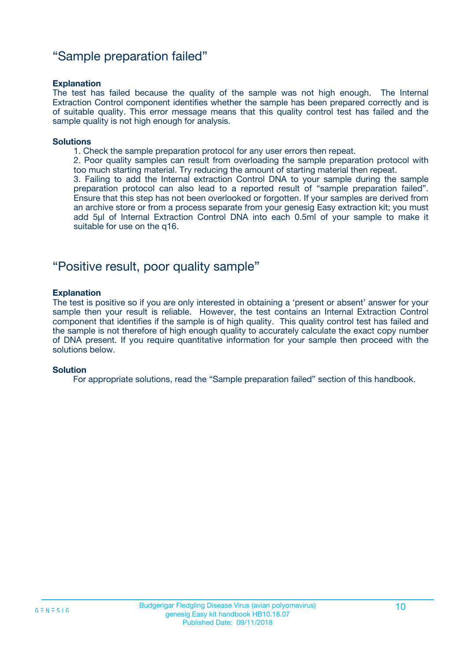### "Sample preparation failed"

#### **Explanation**

The test has failed because the quality of the sample was not high enough. The Internal Extraction Control component identifies whether the sample has been prepared correctly and is of suitable quality. This error message means that this quality control test has failed and the sample quality is not high enough for analysis.

#### **Solutions**

1. Check the sample preparation protocol for any user errors then repeat.

2. Poor quality samples can result from overloading the sample preparation protocol with too much starting material. Try reducing the amount of starting material then repeat.

3. Failing to add the Internal extraction Control DNA to your sample during the sample preparation protocol can also lead to a reported result of "sample preparation failed". Ensure that this step has not been overlooked or forgotten. If your samples are derived from an archive store or from a process separate from your genesig Easy extraction kit; you must add 5µl of Internal Extraction Control DNA into each 0.5ml of your sample to make it suitable for use on the q16.

### "Positive result, poor quality sample"

#### **Explanation**

The test is positive so if you are only interested in obtaining a 'present or absent' answer for your sample then your result is reliable. However, the test contains an Internal Extraction Control component that identifies if the sample is of high quality. This quality control test has failed and the sample is not therefore of high enough quality to accurately calculate the exact copy number of DNA present. If you require quantitative information for your sample then proceed with the solutions below.

#### **Solution**

For appropriate solutions, read the "Sample preparation failed" section of this handbook.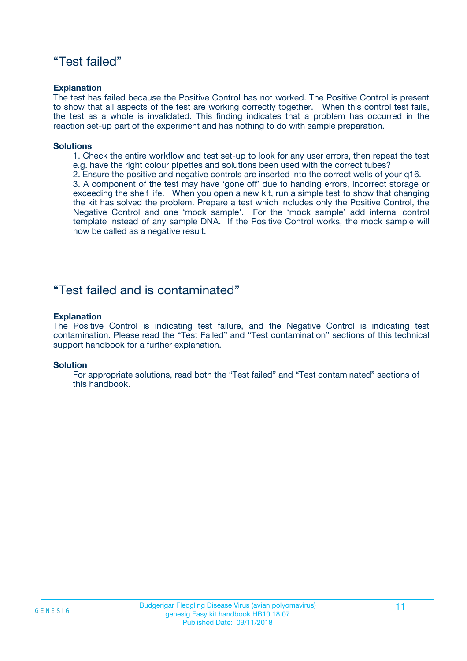### "Test failed"

#### **Explanation**

The test has failed because the Positive Control has not worked. The Positive Control is present to show that all aspects of the test are working correctly together. When this control test fails, the test as a whole is invalidated. This finding indicates that a problem has occurred in the reaction set-up part of the experiment and has nothing to do with sample preparation.

#### **Solutions**

- 1. Check the entire workflow and test set-up to look for any user errors, then repeat the test e.g. have the right colour pipettes and solutions been used with the correct tubes?
- 2. Ensure the positive and negative controls are inserted into the correct wells of your q16.

3. A component of the test may have 'gone off' due to handing errors, incorrect storage or exceeding the shelf life. When you open a new kit, run a simple test to show that changing the kit has solved the problem. Prepare a test which includes only the Positive Control, the Negative Control and one 'mock sample'. For the 'mock sample' add internal control template instead of any sample DNA. If the Positive Control works, the mock sample will now be called as a negative result.

### "Test failed and is contaminated"

#### **Explanation**

The Positive Control is indicating test failure, and the Negative Control is indicating test contamination. Please read the "Test Failed" and "Test contamination" sections of this technical support handbook for a further explanation.

#### **Solution**

For appropriate solutions, read both the "Test failed" and "Test contaminated" sections of this handbook.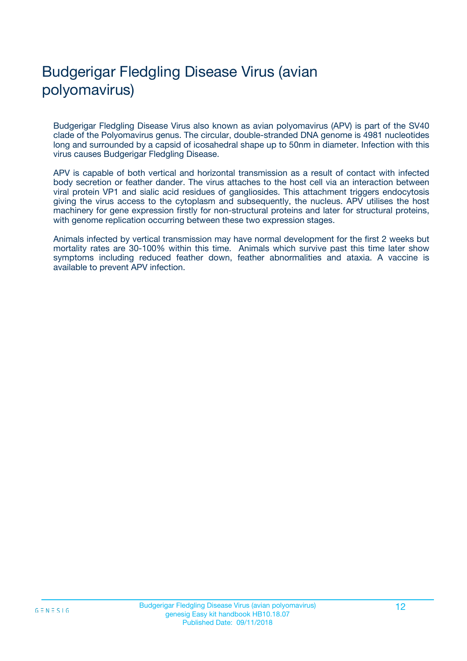# Budgerigar Fledgling Disease Virus (avian polyomavirus)

Budgerigar Fledgling Disease Virus also known as avian polyomavirus (APV) is part of the SV40 clade of the Polyomavirus genus. The circular, double-stranded DNA genome is 4981 nucleotides long and surrounded by a capsid of icosahedral shape up to 50nm in diameter. Infection with this virus causes Budgerigar Fledgling Disease.

APV is capable of both vertical and horizontal transmission as a result of contact with infected body secretion or feather dander. The virus attaches to the host cell via an interaction between viral protein VP1 and sialic acid residues of gangliosides. This attachment triggers endocytosis giving the virus access to the cytoplasm and subsequently, the nucleus. APV utilises the host machinery for gene expression firstly for non-structural proteins and later for structural proteins, with genome replication occurring between these two expression stages.

Animals infected by vertical transmission may have normal development for the first 2 weeks but mortality rates are 30-100% within this time. Animals which survive past this time later show symptoms including reduced feather down, feather abnormalities and ataxia. A vaccine is available to prevent APV infection.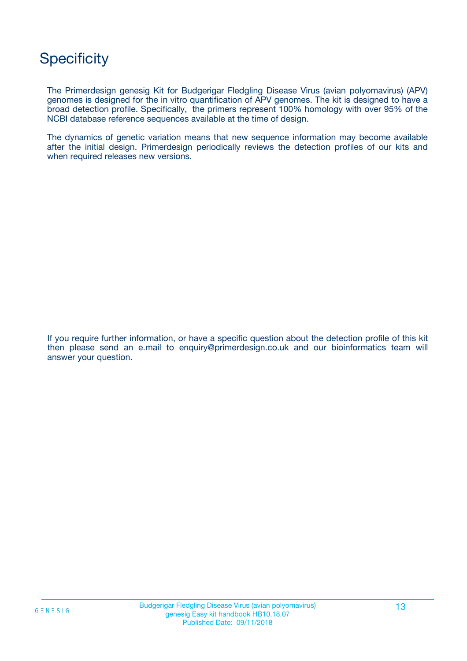## **Specificity**

The Primerdesign genesig Kit for Budgerigar Fledgling Disease Virus (avian polyomavirus) (APV) genomes is designed for the in vitro quantification of APV genomes. The kit is designed to have a broad detection profile. Specifically, the primers represent 100% homology with over 95% of the NCBI database reference sequences available at the time of design.

The dynamics of genetic variation means that new sequence information may become available after the initial design. Primerdesign periodically reviews the detection profiles of our kits and when required releases new versions.

If you require further information, or have a specific question about the detection profile of this kit then please send an e.mail to enquiry@primerdesign.co.uk and our bioinformatics team will answer your question.